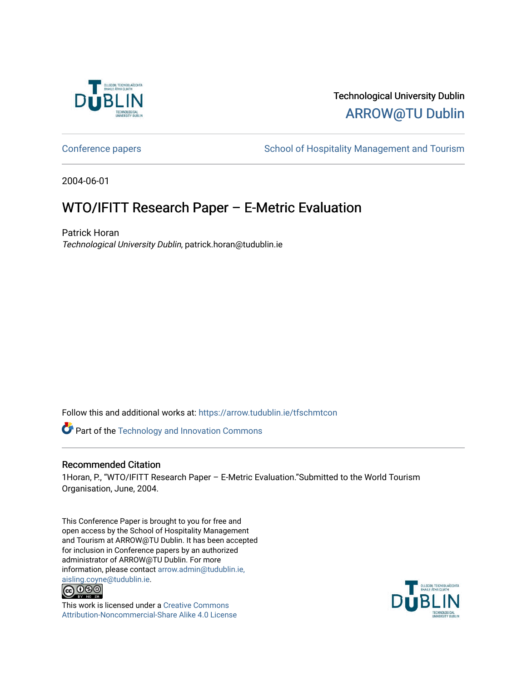

# Technological University Dublin [ARROW@TU Dublin](https://arrow.tudublin.ie/)

[Conference papers](https://arrow.tudublin.ie/tfschmtcon) **School of Hospitality Management and Tourism** 

2004-06-01

# WTO/IFITT Research Paper – E-Metric Evaluation

Patrick Horan Technological University Dublin, patrick.horan@tudublin.ie

Follow this and additional works at: [https://arrow.tudublin.ie/tfschmtcon](https://arrow.tudublin.ie/tfschmtcon?utm_source=arrow.tudublin.ie%2Ftfschmtcon%2F20&utm_medium=PDF&utm_campaign=PDFCoverPages)

Part of the [Technology and Innovation Commons](http://network.bepress.com/hgg/discipline/644?utm_source=arrow.tudublin.ie%2Ftfschmtcon%2F20&utm_medium=PDF&utm_campaign=PDFCoverPages)

# Recommended Citation

1Horan, P., "WTO/IFITT Research Paper – E-Metric Evaluation."Submitted to the World Tourism Organisation, June, 2004.

This Conference Paper is brought to you for free and open access by the School of Hospitality Management and Tourism at ARROW@TU Dublin. It has been accepted for inclusion in Conference papers by an authorized administrator of ARROW@TU Dublin. For more information, please contact [arrow.admin@tudublin.ie,](mailto:arrow.admin@tudublin.ie,%20aisling.coyne@tudublin.ie)  [aisling.coyne@tudublin.ie.](mailto:arrow.admin@tudublin.ie,%20aisling.coyne@tudublin.ie)<br> **@ 0 9 9** 



This work is licensed under a [Creative Commons](http://creativecommons.org/licenses/by-nc-sa/4.0/) [Attribution-Noncommercial-Share Alike 4.0 License](http://creativecommons.org/licenses/by-nc-sa/4.0/)

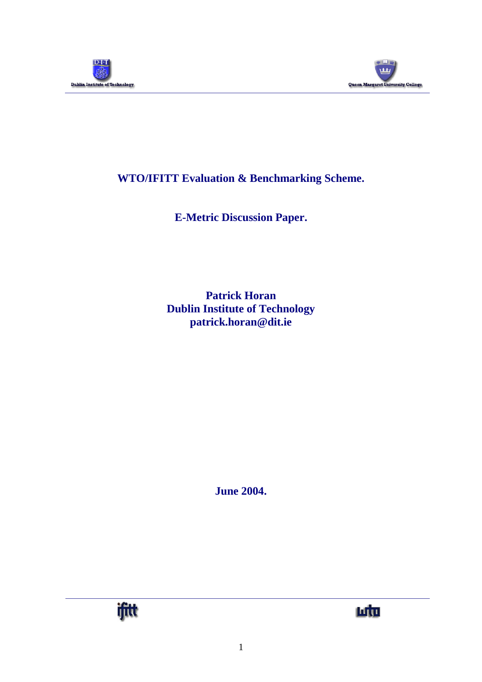



# **WTO/IFITT Evaluation & Benchmarking Scheme.**

**E-Metric Discussion Paper.**

**Patrick Horan Dublin Institute of Technology patrick.horan@dit.ie**

**June 2004.**



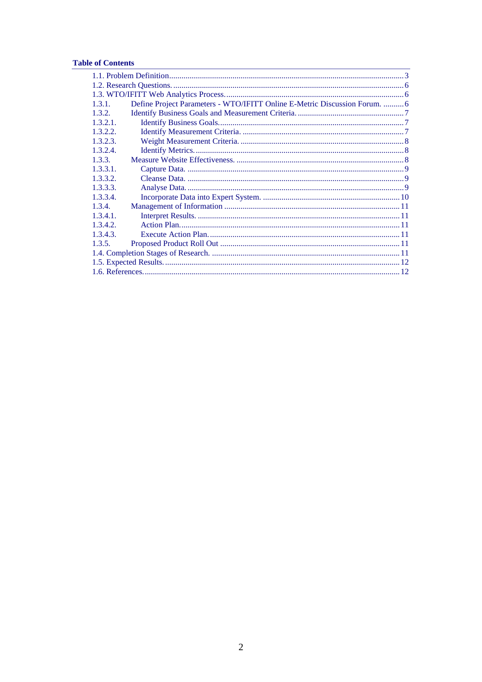# **Table of Contents**

| 1.3.1.   | Define Project Parameters - WTO/IFITT Online E-Metric Discussion Forum.  6 |  |  |  |
|----------|----------------------------------------------------------------------------|--|--|--|
| 1.3.2.   |                                                                            |  |  |  |
| 1.3.2.1. |                                                                            |  |  |  |
| 1.3.2.2. |                                                                            |  |  |  |
| 1.3.2.3. |                                                                            |  |  |  |
| 1.3.2.4. |                                                                            |  |  |  |
| 1.3.3.   |                                                                            |  |  |  |
| 1,3,3,1. |                                                                            |  |  |  |
| 1.3.3.2. |                                                                            |  |  |  |
| 1.3.3.3. |                                                                            |  |  |  |
| 1.3.3.4. |                                                                            |  |  |  |
| 1.3.4.   |                                                                            |  |  |  |
| 1,3,4,1. |                                                                            |  |  |  |
| 1.3.4.2. |                                                                            |  |  |  |
| 1.3.4.3. |                                                                            |  |  |  |
| 1.3.5.   |                                                                            |  |  |  |
|          |                                                                            |  |  |  |
|          |                                                                            |  |  |  |
|          |                                                                            |  |  |  |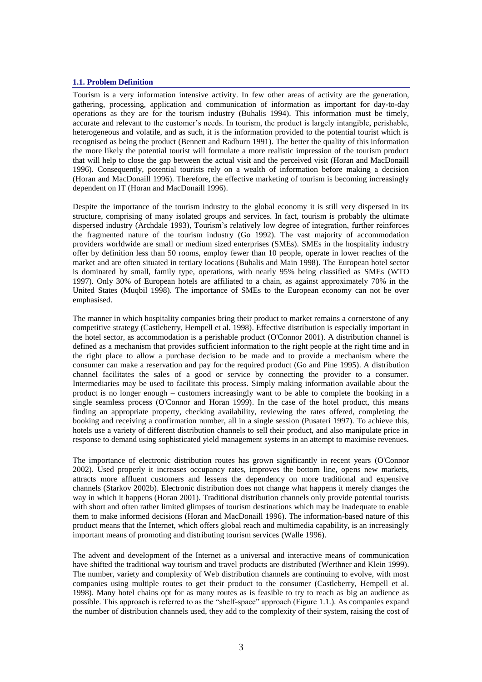#### <span id="page-3-0"></span>**1.1. Problem Definition**

Tourism is a very information intensive activity. In few other areas of activity are the generation, gathering, processing, application and communication of information as important for day-to-day operations as they are for the tourism industry (Buhalis 1994). This information must be timely, accurate and relevant to the customer's needs. In tourism, the product is largely intangible, perishable, heterogeneous and volatile, and as such, it is the information provided to the potential tourist which is recognised as being the product (Bennett and Radburn 1991). The better the quality of this information the more likely the potential tourist will formulate a more realistic impression of the tourism product that will help to close the gap between the actual visit and the perceived visit (Horan and MacDonaill 1996). Consequently, potential tourists rely on a wealth of information before making a decision (Horan and MacDonaill 1996). Therefore, the effective marketing of tourism is becoming increasingly dependent on IT (Horan and MacDonaill 1996).

Despite the importance of the tourism industry to the global economy it is still very dispersed in its structure, comprising of many isolated groups and services. In fact, tourism is probably the ultimate dispersed industry (Archdale 1993), Tourism's relatively low degree of integration, further reinforces the fragmented nature of the tourism industry (Go 1992). The vast majority of accommodation providers worldwide are small or medium sized enterprises (SMEs). SMEs in the hospitality industry offer by definition less than 50 rooms, employ fewer than 10 people, operate in lower reaches of the market and are often situated in tertiary locations (Buhalis and Main 1998). The European hotel sector is dominated by small, family type, operations, with nearly 95% being classified as SMEs (WTO 1997). Only 30% of European hotels are affiliated to a chain, as against approximately 70% in the United States (Muqbil 1998). The importance of SMEs to the European economy can not be over emphasised.

The manner in which hospitality companies bring their product to market remains a cornerstone of any competitive strategy (Castleberry, Hempell et al. 1998). Effective distribution is especially important in the hotel sector, as accommodation is a perishable product (O'Connor 2001). A distribution channel is defined as a mechanism that provides sufficient information to the right people at the right time and in the right place to allow a purchase decision to be made and to provide a mechanism where the consumer can make a reservation and pay for the required product (Go and Pine 1995). A distribution channel facilitates the sales of a good or service by connecting the provider to a consumer. Intermediaries may be used to facilitate this process. Simply making information available about the product is no longer enough – customers increasingly want to be able to complete the booking in a single seamless process (O'Connor and Horan 1999). In the case of the hotel product, this means finding an appropriate property, checking availability, reviewing the rates offered, completing the booking and receiving a confirmation number, all in a single session (Pusateri 1997). To achieve this, hotels use a variety of different distribution channels to sell their product, and also manipulate price in response to demand using sophisticated yield management systems in an attempt to maximise revenues.

The importance of electronic distribution routes has grown significantly in recent years (O'Connor 2002). Used properly it increases occupancy rates, improves the bottom line, opens new markets, attracts more affluent customers and lessens the dependency on more traditional and expensive channels (Starkov 2002b). Electronic distribution does not change what happens it merely changes the way in which it happens (Horan 2001). Traditional distribution channels only provide potential tourists with short and often rather limited glimpses of tourism destinations which may be inadequate to enable them to make informed decisions (Horan and MacDonaill 1996). The information-based nature of this product means that the Internet, which offers global reach and multimedia capability, is an increasingly important means of promoting and distributing tourism services (Walle 1996).

The advent and development of the Internet as a universal and interactive means of communication have shifted the traditional way tourism and travel products are distributed (Werthner and Klein 1999). The number, variety and complexity of Web distribution channels are continuing to evolve, with most companies using multiple routes to get their product to the consumer (Castleberry, Hempell et al. 1998). Many hotel chains opt for as many routes as is feasible to try to reach as big an audience as possible. This approach is referred to as the "shelf-space" approach (Figure 1.1.). As companies expand the number of distribution channels used, they add to the complexity of their system, raising the cost of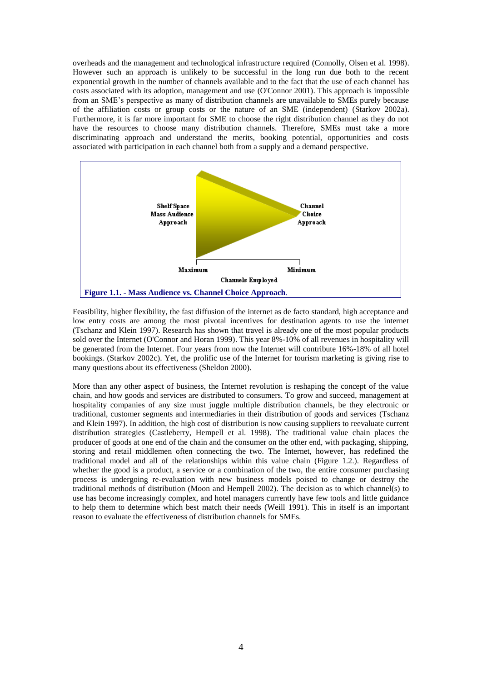overheads and the management and technological infrastructure required (Connolly, Olsen et al. 1998). However such an approach is unlikely to be successful in the long run due both to the recent exponential growth in the number of channels available and to the fact that the use of each channel has costs associated with its adoption, management and use (O'Connor 2001). This approach is impossible from an SME's perspective as many of distribution channels are unavailable to SMEs purely because of the affiliation costs or group costs or the nature of an SME (independent) (Starkov 2002a). Furthermore, it is far more important for SME to choose the right distribution channel as they do not have the resources to choose many distribution channels. Therefore, SMEs must take a more discriminating approach and understand the merits, booking potential, opportunities and costs associated with participation in each channel both from a supply and a demand perspective.



Feasibility, higher flexibility, the fast diffusion of the internet as de facto standard, high acceptance and low entry costs are among the most pivotal incentives for destination agents to use the internet (Tschanz and Klein 1997). Research has shown that travel is already one of the most popular products sold over the Internet (O'Connor and Horan 1999). This year 8%-10% of all revenues in hospitality will be generated from the Internet. Four years from now the Internet will contribute 16%-18% of all hotel bookings. (Starkov 2002c). Yet, the prolific use of the Internet for tourism marketing is giving rise to many questions about its effectiveness (Sheldon 2000).

More than any other aspect of business, the Internet revolution is reshaping the concept of the value chain, and how goods and services are distributed to consumers. To grow and succeed, management at hospitality companies of any size must juggle multiple distribution channels, be they electronic or traditional, customer segments and intermediaries in their distribution of goods and services (Tschanz and Klein 1997). In addition, the high cost of distribution is now causing suppliers to reevaluate current distribution strategies (Castleberry, Hempell et al. 1998). The traditional value chain places the producer of goods at one end of the chain and the consumer on the other end, with packaging, shipping, storing and retail middlemen often connecting the two. The Internet, however, has redefined the traditional model and all of the relationships within this value chain (Figure 1.2.). Regardless of whether the good is a product, a service or a combination of the two, the entire consumer purchasing process is undergoing re-evaluation with new business models poised to change or destroy the traditional methods of distribution (Moon and Hempell 2002). The decision as to which channel(s) to use has become increasingly complex, and hotel managers currently have few tools and little guidance to help them to determine which best match their needs (Weill 1991). This in itself is an important reason to evaluate the effectiveness of distribution channels for SMEs.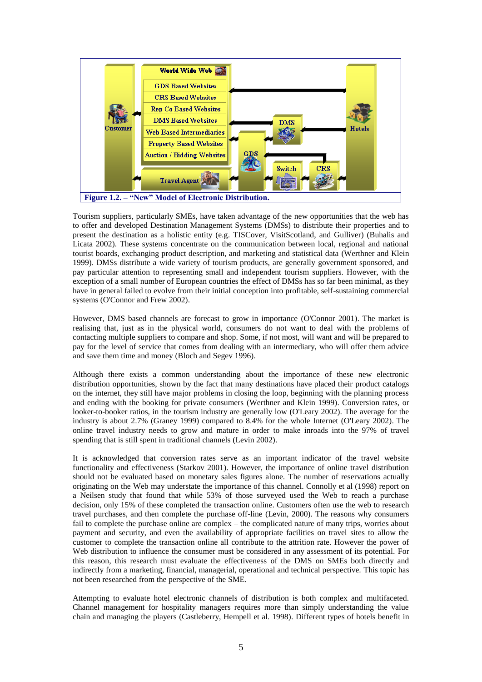

Tourism suppliers, particularly SMEs, have taken advantage of the new opportunities that the web has to offer and developed Destination Management Systems (DMSs) to distribute their properties and to present the destination as a holistic entity (e.g. TISCover, VisitScotland, and Gulliver) (Buhalis and Licata 2002). These systems concentrate on the communication between local, regional and national tourist boards, exchanging product description, and marketing and statistical data (Werthner and Klein 1999). DMSs distribute a wide variety of tourism products, are generally government sponsored, and pay particular attention to representing small and independent tourism suppliers. However, with the exception of a small number of European countries the effect of DMSs has so far been minimal, as they have in general failed to evolve from their initial conception into profitable, self-sustaining commercial systems (O'Connor and Frew 2002).

However, DMS based channels are forecast to grow in importance (O'Connor 2001). The market is realising that, just as in the physical world, consumers do not want to deal with the problems of contacting multiple suppliers to compare and shop. Some, if not most, will want and will be prepared to pay for the level of service that comes from dealing with an intermediary, who will offer them advice and save them time and money (Bloch and Segev 1996).

Although there exists a common understanding about the importance of these new electronic distribution opportunities, shown by the fact that many destinations have placed their product catalogs on the internet, they still have major problems in closing the loop, beginning with the planning process and ending with the booking for private consumers (Werthner and Klein 1999). Conversion rates, or looker-to-booker ratios, in the tourism industry are generally low (O'Leary 2002). The average for the industry is about 2.7% (Graney 1999) compared to 8.4% for the whole Internet (O'Leary 2002). The online travel industry needs to grow and mature in order to make inroads into the 97% of travel spending that is still spent in traditional channels (Levin 2002).

It is acknowledged that conversion rates serve as an important indicator of the travel website functionality and effectiveness (Starkov 2001). However, the importance of online travel distribution should not be evaluated based on monetary sales figures alone. The number of reservations actually originating on the Web may understate the importance of this channel. Connolly et al (1998) report on a Neilsen study that found that while 53% of those surveyed used the Web to reach a purchase decision, only 15% of these completed the transaction online. Customers often use the web to research travel purchases, and then complete the purchase off-line (Levin, 2000). The reasons why consumers fail to complete the purchase online are complex – the complicated nature of many trips, worries about payment and security, and even the availability of appropriate facilities on travel sites to allow the customer to complete the transaction online all contribute to the attrition rate. However the power of Web distribution to influence the consumer must be considered in any assessment of its potential. For this reason, this research must evaluate the effectiveness of the DMS on SMEs both directly and indirectly from a marketing, financial, managerial, operational and technical perspective. This topic has not been researched from the perspective of the SME.

Attempting to evaluate hotel electronic channels of distribution is both complex and multifaceted. Channel management for hospitality managers requires more than simply understanding the value chain and managing the players (Castleberry, Hempell et al. 1998). Different types of hotels benefit in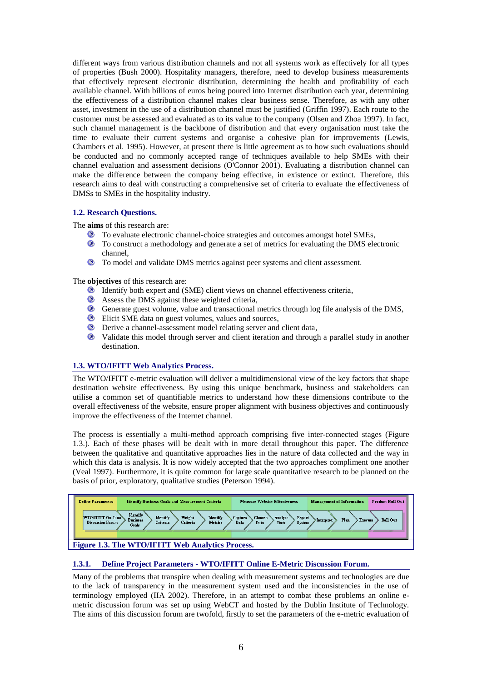different ways from various distribution channels and not all systems work as effectively for all types of properties (Bush 2000). Hospitality managers, therefore, need to develop business measurements that effectively represent electronic distribution, determining the health and profitability of each available channel. With billions of euros being poured into Internet distribution each year, determining the effectiveness of a distribution channel makes clear business sense. Therefore, as with any other asset, investment in the use of a distribution channel must be justified (Griffin 1997). Each route to the customer must be assessed and evaluated as to its value to the company (Olsen and Zhoa 1997). In fact, such channel management is the backbone of distribution and that every organisation must take the time to evaluate their current systems and organise a cohesive plan for improvements (Lewis, Chambers et al. 1995). However, at present there is little agreement as to how such evaluations should be conducted and no commonly accepted range of techniques available to help SMEs with their channel evaluation and assessment decisions (O'Connor 2001). Evaluating a distribution channel can make the difference between the company being effective, in existence or extinct. Therefore, this research aims to deal with constructing a comprehensive set of criteria to evaluate the effectiveness of DMSs to SMEs in the hospitality industry.

# <span id="page-6-0"></span>**1.2. Research Questions.**

The **aims** of this research are:

- To evaluate electronic channel-choice strategies and outcomes amongst hotel SMEs,
- To construct a methodology and generate a set of metrics for evaluating the DMS electronic channel,
- To model and validate DMS metrics against peer systems and client assessment.

The **objectives** of this research are:

- Identify both expert and (SME) client views on channel effectiveness criteria,
- Assess the DMS against these weighted criteria,
- Generate guest volume, value and transactional metrics through log file analysis of the DMS,
- $\bullet$ Elicit SME data on guest volumes, values and sources,
- Derive a channel-assessment model relating server and client data,
- Validate this model through server and client iteration and through a parallel study in another destination.

# <span id="page-6-1"></span>**1.3. WTO/IFITT Web Analytics Process.**

The WTO/IFITT e-metric evaluation will deliver a multidimensional view of the key factors that shape destination website effectiveness. By using this unique benchmark, business and stakeholders can utilise a common set of quantifiable metrics to understand how these dimensions contribute to the overall effectiveness of the website, ensure proper alignment with business objectives and continuously improve the effectiveness of the Internet channel.

The process is essentially a multi-method approach comprising five inter-connected stages (Figure 1.3.). Each of these phases will be dealt with in more detail throughout this paper. The difference between the qualitative and quantitative approaches lies in the nature of data collected and the way in which this data is analysis. It is now widely accepted that the two approaches compliment one another (Veal 1997). Furthermore, it is quite common for large scale quantitative research to be planned on the basis of prior, exploratory, qualitative studies (Peterson 1994).



# <span id="page-6-2"></span>**1.3.1. Define Project Parameters - WTO/IFITT Online E-Metric Discussion Forum.**

Many of the problems that transpire when dealing with measurement systems and technologies are due to the lack of transparency in the measurement system used and the inconsistencies in the use of terminology employed (IIA 2002). Therefore, in an attempt to combat these problems an online emetric discussion forum was set up using WebCT and hosted by the Dublin Institute of Technology. The aims of this discussion forum are twofold, firstly to set the parameters of the e-metric evaluation of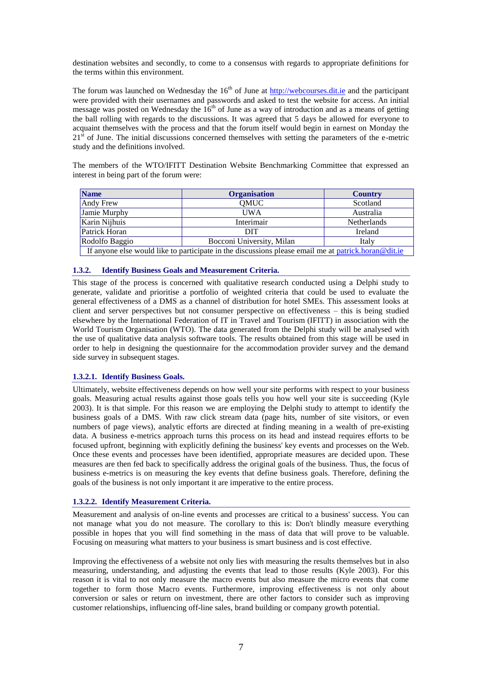destination websites and secondly, to come to a consensus with regards to appropriate definitions for the terms within this environment.

The forum was launched on Wednesday the  $16<sup>th</sup>$  of June at [http://webcourses.dit.ie](http://webcourses.dit.ie/) and the participant were provided with their usernames and passwords and asked to test the website for access. An initial message was posted on Wednesday the  $16<sup>th</sup>$  of June as a way of introduction and as a means of getting the ball rolling with regards to the discussions. It was agreed that 5 days be allowed for everyone to acquaint themselves with the process and that the forum itself would begin in earnest on Monday the  $21<sup>st</sup>$  of June. The initial discussions concerned themselves with setting the parameters of the e-metric study and the definitions involved.

The members of the WTO/IFITT Destination Website Benchmarking Committee that expressed an interest in being part of the forum were:

| <b>Name</b>                                                                                           | <b>Organisation</b>       | <b>Country</b>     |  |  |
|-------------------------------------------------------------------------------------------------------|---------------------------|--------------------|--|--|
| Andy Frew                                                                                             | OMUC                      | Scotland           |  |  |
| Jamie Murphy                                                                                          | <b>UWA</b>                | Australia          |  |  |
| Karin Nijhuis                                                                                         | Interimair                | <b>Netherlands</b> |  |  |
| Patrick Horan                                                                                         | <b>DIT</b>                | Ireland            |  |  |
| Rodolfo Baggio                                                                                        | Bocconi University, Milan | Italy              |  |  |
| If anyone else would like to participate in the discussions please email me at $partick.horan@dit.ie$ |                           |                    |  |  |

# <span id="page-7-0"></span>**1.3.2. Identify Business Goals and Measurement Criteria.**

This stage of the process is concerned with qualitative research conducted using a Delphi study to generate, validate and prioritise a portfolio of weighted criteria that could be used to evaluate the general effectiveness of a DMS as a channel of distribution for hotel SMEs. This assessment looks at client and server perspectives but not consumer perspective on effectiveness – this is being studied elsewhere by the International Federation of IT in Travel and Tourism (IFITT) in association with the World Tourism Organisation (WTO). The data generated from the Delphi study will be analysed with the use of qualitative data analysis software tools. The results obtained from this stage will be used in order to help in designing the questionnaire for the accommodation provider survey and the demand side survey in subsequent stages.

# <span id="page-7-1"></span>**1.3.2.1. Identify Business Goals.**

Ultimately, website effectiveness depends on how well your site performs with respect to your business goals. Measuring actual results against those goals tells you how well your site is succeeding (Kyle 2003). It is that simple. For this reason we are employing the Delphi study to attempt to identify the business goals of a DMS. With raw click stream data (page hits, number of site visitors, or even numbers of page views), analytic efforts are directed at finding meaning in a wealth of pre-existing data. A business e-metrics approach turns this process on its head and instead requires efforts to be focused upfront, beginning with explicitly defining the business' key events and processes on the Web. Once these events and processes have been identified, appropriate measures are decided upon. These measures are then fed back to specifically address the original goals of the business. Thus, the focus of business e-metrics is on measuring the key events that define business goals. Therefore, defining the goals of the business is not only important it are imperative to the entire process.

#### <span id="page-7-2"></span>**1.3.2.2. Identify Measurement Criteria.**

Measurement and analysis of on-line events and processes are critical to a business' success. You can not manage what you do not measure. The corollary to this is: Don't blindly measure everything possible in hopes that you will find something in the mass of data that will prove to be valuable. Focusing on measuring what matters to your business is smart business and is cost effective.

Improving the effectiveness of a website not only lies with measuring the results themselves but in also measuring, understanding, and adjusting the events that lead to those results (Kyle 2003). For this reason it is vital to not only measure the macro events but also measure the micro events that come together to form those Macro events. Furthermore, improving effectiveness is not only about conversion or sales or return on investment, there are other factors to consider such as improving customer relationships, influencing off-line sales, brand building or company growth potential.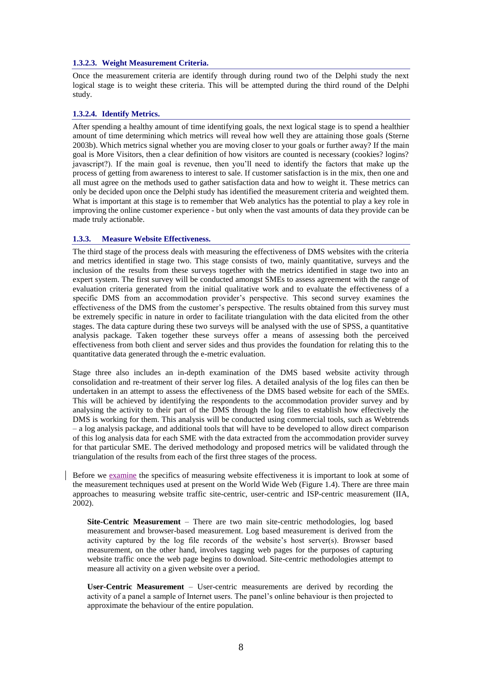#### <span id="page-8-0"></span>**1.3.2.3. Weight Measurement Criteria.**

Once the measurement criteria are identify through during round two of the Delphi study the next logical stage is to weight these criteria. This will be attempted during the third round of the Delphi study.

#### <span id="page-8-1"></span>**1.3.2.4. Identify Metrics.**

After spending a healthy amount of time identifying goals, the next logical stage is to spend a healthier amount of time determining which metrics will reveal how well they are attaining those goals (Sterne 2003b). Which metrics signal whether you are moving closer to your goals or further away? If the main goal is More Visitors, then a clear definition of how visitors are counted is necessary (cookies? logins? javascript?). If the main goal is revenue, then you'll need to identify the factors that make up the process of getting from awareness to interest to sale. If customer satisfaction is in the mix, then one and all must agree on the methods used to gather satisfaction data and how to weight it. These metrics can only be decided upon once the Delphi study has identified the measurement criteria and weighted them. What is important at this stage is to remember that Web analytics has the potential to play a key role in improving the online customer experience - but only when the vast amounts of data they provide can be made truly actionable.

#### <span id="page-8-2"></span>**1.3.3. Measure Website Effectiveness.**

The third stage of the process deals with measuring the effectiveness of DMS websites with the criteria and metrics identified in stage two. This stage consists of two, mainly quantitative, surveys and the inclusion of the results from these surveys together with the metrics identified in stage two into an expert system. The first survey will be conducted amongst SMEs to assess agreement with the range of evaluation criteria generated from the initial qualitative work and to evaluate the effectiveness of a specific DMS from an accommodation provider's perspective. This second survey examines the effectiveness of the DMS from the customer's perspective. The results obtained from this survey must be extremely specific in nature in order to facilitate triangulation with the data elicited from the other stages. The data capture during these two surveys will be analysed with the use of SPSS, a quantitative analysis package. Taken together these surveys offer a means of assessing both the perceived effectiveness from both client and server sides and thus provides the foundation for relating this to the quantitative data generated through the e-metric evaluation.

Stage three also includes an in-depth examination of the DMS based website activity through consolidation and re-treatment of their server log files. A detailed analysis of the log files can then be undertaken in an attempt to assess the effectiveness of the DMS based website for each of the SMEs. This will be achieved by identifying the respondents to the accommodation provider survey and by analysing the activity to their part of the DMS through the log files to establish how effectively the DMS is working for them. This analysis will be conducted using commercial tools, such as Webtrends – a log analysis package, and additional tools that will have to be developed to allow direct comparison of this log analysis data for each SME with the data extracted from the accommodation provider survey for that particular SME. The derived methodology and proposed metrics will be validated through the triangulation of the results from each of the first three stages of the process.

Before we examine the specifics of measuring website effectiveness it is important to look at some of the measurement techniques used at present on the World Wide Web (Figure 1.4). There are three main approaches to measuring website traffic site-centric, user-centric and ISP-centric measurement (IIA, 2002).

**Site-Centric Measurement** – There are two main site-centric methodologies, log based measurement and browser-based measurement. Log based measurement is derived from the activity captured by the log file records of the website's host server(s). Browser based measurement, on the other hand, involves tagging web pages for the purposes of capturing website traffic once the web page begins to download. Site-centric methodologies attempt to measure all activity on a given website over a period.

**User-Centric Measurement** – User-centric measurements are derived by recording the activity of a panel a sample of Internet users. The panel's online behaviour is then projected to approximate the behaviour of the entire population.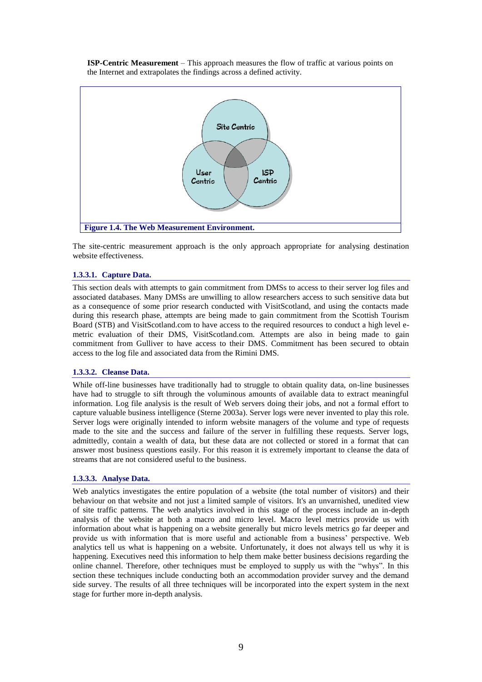**ISP-Centric Measurement** – This approach measures the flow of traffic at various points on the Internet and extrapolates the findings across a defined activity.



The site-centric measurement approach is the only approach appropriate for analysing destination website effectiveness.

#### <span id="page-9-0"></span>**1.3.3.1. Capture Data.**

This section deals with attempts to gain commitment from DMSs to access to their server log files and associated databases. Many DMSs are unwilling to allow researchers access to such sensitive data but as a consequence of some prior research conducted with VisitScotland, and using the contacts made during this research phase, attempts are being made to gain commitment from the Scottish Tourism Board (STB) and VisitScotland.com to have access to the required resources to conduct a high level emetric evaluation of their DMS, VisitScotland.com. Attempts are also in being made to gain commitment from Gulliver to have access to their DMS. Commitment has been secured to obtain access to the log file and associated data from the Rimini DMS.

#### <span id="page-9-1"></span>**1.3.3.2. Cleanse Data.**

While off-line businesses have traditionally had to struggle to obtain quality data, on-line businesses have had to struggle to sift through the voluminous amounts of available data to extract meaningful information. Log file analysis is the result of Web servers doing their jobs, and not a formal effort to capture valuable business intelligence (Sterne 2003a). Server logs were never invented to play this role. Server logs were originally intended to inform website managers of the volume and type of requests made to the site and the success and failure of the server in fulfilling these requests. Server logs, admittedly, contain a wealth of data, but these data are not collected or stored in a format that can answer most business questions easily. For this reason it is extremely important to cleanse the data of streams that are not considered useful to the business.

#### <span id="page-9-2"></span>**1.3.3.3. Analyse Data.**

Web analytics investigates the entire population of a website (the total number of visitors) and their behaviour on that website and not just a limited sample of visitors. It's an unvarnished, unedited view of site traffic patterns. The web analytics involved in this stage of the process include an in-depth analysis of the website at both a macro and micro level. Macro level metrics provide us with information about what is happening on a website generally but micro levels metrics go far deeper and provide us with information that is more useful and actionable from a business' perspective. Web analytics tell us what is happening on a website. Unfortunately, it does not always tell us why it is happening. Executives need this information to help them make better business decisions regarding the online channel. Therefore, other techniques must be employed to supply us with the "whys". In this section these techniques include conducting both an accommodation provider survey and the demand side survey. The results of all three techniques will be incorporated into the expert system in the next stage for further more in-depth analysis.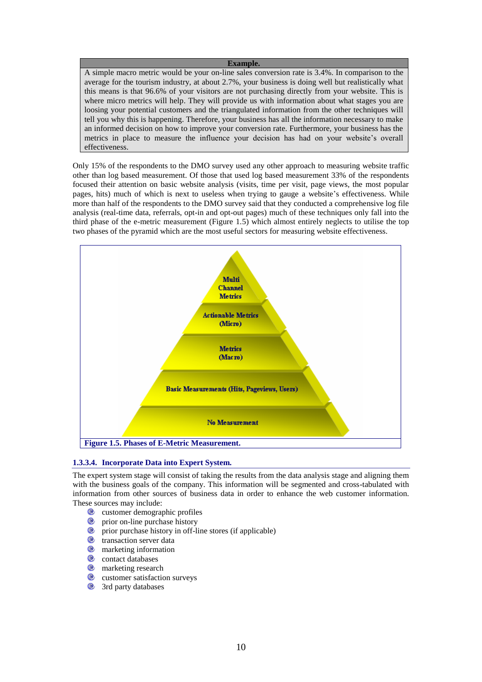#### **Example.**

A simple macro metric would be your on-line sales conversion rate is 3.4%. In comparison to the average for the tourism industry, at about 2.7%, your business is doing well but realistically what this means is that 96.6% of your visitors are not purchasing directly from your website. This is where micro metrics will help. They will provide us with information about what stages you are loosing your potential customers and the triangulated information from the other techniques will tell you why this is happening. Therefore, your business has all the information necessary to make an informed decision on how to improve your conversion rate. Furthermore, your business has the metrics in place to measure the influence your decision has had on your website's overall effectiveness.

Only 15% of the respondents to the DMO survey used any other approach to measuring website traffic other than log based measurement. Of those that used log based measurement 33% of the respondents focused their attention on basic website analysis (visits, time per visit, page views, the most popular pages, hits) much of which is next to useless when trying to gauge a website's effectiveness. While more than half of the respondents to the DMO survey said that they conducted a comprehensive log file analysis (real-time data, referrals, opt-in and opt-out pages) much of these techniques only fall into the third phase of the e-metric measurement (Figure 1.5) which almost entirely neglects to utilise the top two phases of the pyramid which are the most useful sectors for measuring website effectiveness.



#### <span id="page-10-0"></span>**1.3.3.4. Incorporate Data into Expert System.**

The expert system stage will consist of taking the results from the data analysis stage and aligning them with the business goals of the company. This information will be segmented and cross-tabulated with information from other sources of business data in order to enhance the web customer information. These sources may include:

- **<sup>®</sup>** customer demographic profiles
- $\bullet$ prior on-line purchase history
- $\bullet$ prior purchase history in off-line stores (if applicable)
- $\bullet$ transaction server data
- $\bullet$ marketing information
- $\bullet$ contact databases
- $\bullet$ marketing research
- $\bullet$ customer satisfaction surveys
- $\bullet$ 3rd party databases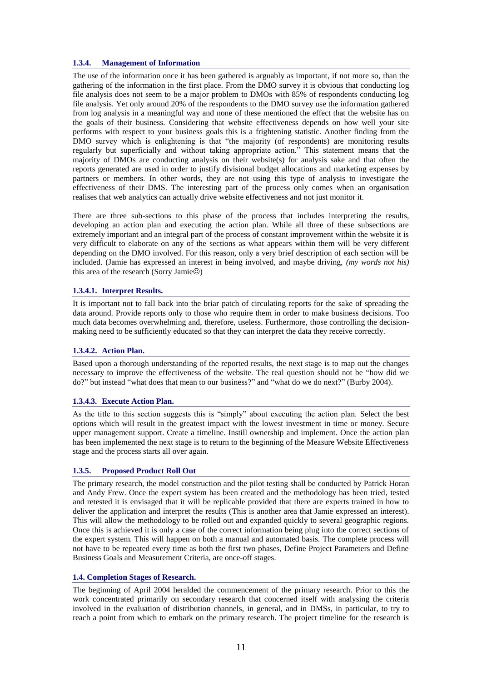# <span id="page-11-0"></span>**1.3.4. Management of Information**

The use of the information once it has been gathered is arguably as important, if not more so, than the gathering of the information in the first place. From the DMO survey it is obvious that conducting log file analysis does not seem to be a major problem to DMOs with 85% of respondents conducting log file analysis. Yet only around 20% of the respondents to the DMO survey use the information gathered from log analysis in a meaningful way and none of these mentioned the effect that the website has on the goals of their business. Considering that website effectiveness depends on how well your site performs with respect to your business goals this is a frightening statistic. Another finding from the DMO survey which is enlightening is that "the majority (of respondents) are monitoring results regularly but superficially and without taking appropriate action." This statement means that the majority of DMOs are conducting analysis on their website(s) for analysis sake and that often the reports generated are used in order to justify divisional budget allocations and marketing expenses by partners or members. In other words, they are not using this type of analysis to investigate the effectiveness of their DMS. The interesting part of the process only comes when an organisation realises that web analytics can actually drive website effectiveness and not just monitor it.

There are three sub-sections to this phase of the process that includes interpreting the results, developing an action plan and executing the action plan. While all three of these subsections are extremely important and an integral part of the process of constant improvement within the website it is very difficult to elaborate on any of the sections as what appears within them will be very different depending on the DMO involved. For this reason, only a very brief description of each section will be included. (Jamie has expressed an interest in being involved, and maybe driving, *(my words not his)*  this area of the research (Sorry Jamie $\circledcirc$ )

# <span id="page-11-1"></span>**1.3.4.1. Interpret Results.**

It is important not to fall back into the briar patch of circulating reports for the sake of spreading the data around. Provide reports only to those who require them in order to make business decisions. Too much data becomes overwhelming and, therefore, useless. Furthermore, those controlling the decisionmaking need to be sufficiently educated so that they can interpret the data they receive correctly.

# <span id="page-11-2"></span>**1.3.4.2. Action Plan.**

Based upon a thorough understanding of the reported results, the next stage is to map out the changes necessary to improve the effectiveness of the website. The real question should not be "how did we do?" but instead "what does that mean to our business?" and "what do we do next?" (Burby 2004).

# <span id="page-11-3"></span>**1.3.4.3. Execute Action Plan.**

As the title to this section suggests this is "simply" about executing the action plan. Select the best options which will result in the greatest impact with the lowest investment in time or money. Secure upper management support. Create a timeline. Instill ownership and implement. Once the action plan has been implemented the next stage is to return to the beginning of the Measure Website Effectiveness stage and the process starts all over again.

# <span id="page-11-4"></span>**1.3.5. Proposed Product Roll Out**

The primary research, the model construction and the pilot testing shall be conducted by Patrick Horan and Andy Frew. Once the expert system has been created and the methodology has been tried, tested and retested it is envisaged that it will be replicable provided that there are experts trained in how to deliver the application and interpret the results (This is another area that Jamie expressed an interest). This will allow the methodology to be rolled out and expanded quickly to several geographic regions. Once this is achieved it is only a case of the correct information being plug into the correct sections of the expert system. This will happen on both a manual and automated basis. The complete process will not have to be repeated every time as both the first two phases, Define Project Parameters and Define Business Goals and Measurement Criteria, are once-off stages.

#### <span id="page-11-5"></span>**1.4. Completion Stages of Research.**

The beginning of April 2004 heralded the commencement of the primary research. Prior to this the work concentrated primarily on secondary research that concerned itself with analysing the criteria involved in the evaluation of distribution channels, in general, and in DMSs, in particular, to try to reach a point from which to embark on the primary research. The project timeline for the research is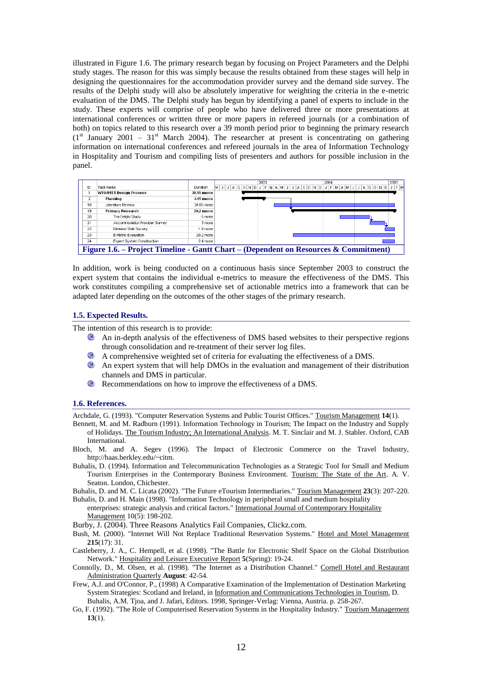illustrated in Figure 1.6. The primary research began by focusing on Project Parameters and the Delphi study stages. The reason for this was simply because the results obtained from these stages will help in designing the questionnaires for the accommodation provider survey and the demand side survey. The results of the Delphi study will also be absolutely imperative for weighting the criteria in the e-metric evaluation of the DMS. The Delphi study has begun by identifying a panel of experts to include in the study. These experts will comprise of people who have delivered three or more presentations at international conferences or written three or more papers in refereed journals (or a combination of both) on topics related to this research over a 39 month period prior to beginning the primary research  $(1<sup>st</sup> January 2001 - 31<sup>st</sup> March 2004)$ . The researcher at present is concentrating on gathering information on international conferences and refereed journals in the area of Information Technology in Hospitality and Tourism and compiling lists of presenters and authors for possible inclusion in the panel.



In addition, work is being conducted on a continuous basis since September 2003 to construct the expert system that contains the individual e-metrics to measure the effectiveness of the DMS. This work constitutes compiling a comprehensive set of actionable metrics into a framework that can be adapted later depending on the outcomes of the other stages of the primary research.

#### <span id="page-12-0"></span>**1.5. Expected Results.**

The intention of this research is to provide:

- An in-depth analysis of the effectiveness of DMS based websites to their perspective regions through consolidation and re-treatment of their server log files.
- A comprehensive weighted set of criteria for evaluating the effectiveness of a DMS.
- An expert system that will help DMOs in the evaluation and management of their distribution channels and DMS in particular.
- **EXECOMMENDERISH** Recommendations on how to improve the effectiveness of a DMS.

#### <span id="page-12-1"></span>**1.6. References.**

Archdale, G. (1993). "Computer Reservation Systems and Public Tourist Offices." Tourism Management **14**(1).

- Bennett, M. and M. Radburn (1991). Information Technology in Tourism; The Impact on the Industry and Supply of Holidays. The Tourism Industry; An International Analysis. M. T. Sinclair and M. J. Stabler. Oxford, CAB International.
- Bloch, M. and A. Segev (1996). The Impact of Electronic Commerce on the Travel Industry, http://haas.berkley.edu/~citm.
- Buhalis, D. (1994). Information and Telecommunication Technologies as a Strategic Tool for Small and Medium Tourism Enterprises in the Contemporary Business Environment. Tourism: The State of the Art. A. V. Seaton. London, Chichester.

Buhalis, D. and M. C. Licata (2002). "The Future eTourism Intermediaries." Tourism Management **23**(3): 207-220. Buhalis, D. and H. Main (1998). "Information Technology in peripheral small and medium hospitality

enterprises: strategic analysis and critical factors." International Journal of Contemporary Hospitality Management 10(5): 198-202.

Burby, J. (2004). Three Reasons Analytics Fail Companies, Clickz.com.

- Bush, M. (2000). "Internet Will Not Replace Traditional Reservation Systems." Hotel and Motel Management **215**(17): 31.
- Castleberry, J. A., C. Hempell, et al. (1998). "The Battle for Electronic Shelf Space on the Global Distribution Network." Hospitality and Leisure Executive Report **5**(Spring): 19-24.

Connolly, D., M. Olsen, et al. (1998). "The Internet as a Distribution Channel." Cornell Hotel and Restaurant Administration Quarterly **August**: 42-54.

- Frew, A.J. and O'Connor, P., (1998) A Comparative Examination of the Implementation of Destination Marketing System Strategies: Scotland and Ireland, in Information and Communications Technologies in Tourism, D. Buhalis, A.M. Tjoa, and J. Jafari, Editors. 1998, Springer-Verlag: Vienna, Austria. p. 258-267.
- Go, F. (1992). "The Role of Computerised Reservation Systems in the Hospitality Industry." Tourism Management **13**(1).